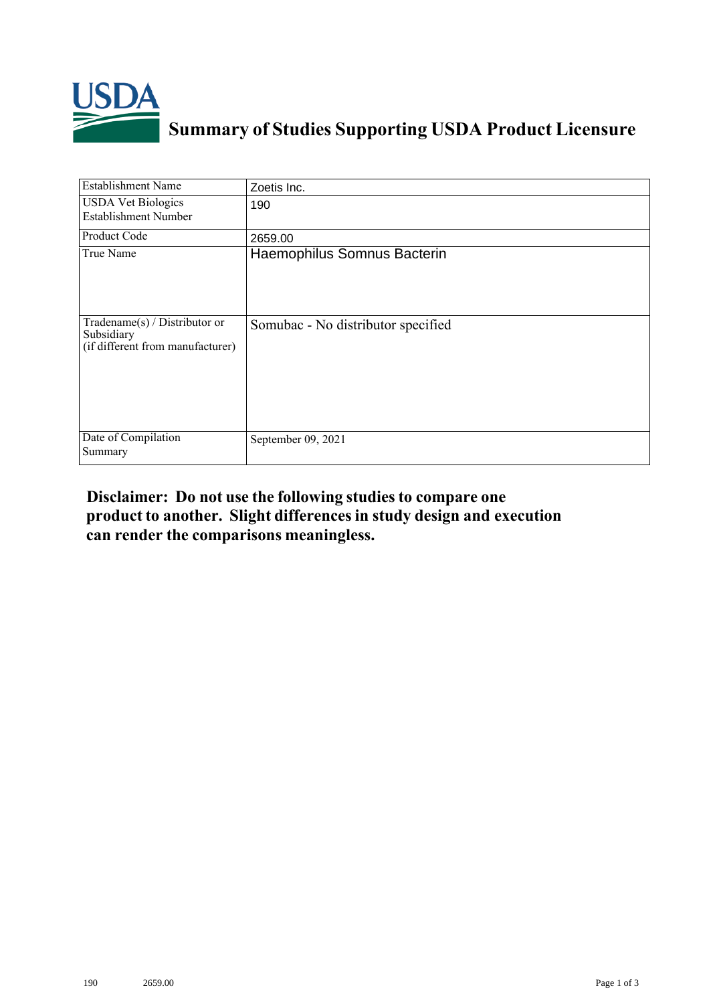

## **Summary of Studies Supporting USDA Product Licensure**

| <b>Establishment Name</b>                                                       | Zoetis Inc.                        |
|---------------------------------------------------------------------------------|------------------------------------|
| <b>USDA Vet Biologics</b><br><b>Establishment Number</b>                        | 190                                |
| Product Code                                                                    | 2659.00                            |
| True Name                                                                       | Haemophilus Somnus Bacterin        |
| Tradename(s) / Distributor or<br>Subsidiary<br>(if different from manufacturer) | Somubac - No distributor specified |
| Date of Compilation<br>Summary                                                  | September 09, 2021                 |

## **Disclaimer: Do not use the following studiesto compare one product to another. Slight differencesin study design and execution can render the comparisons meaningless.**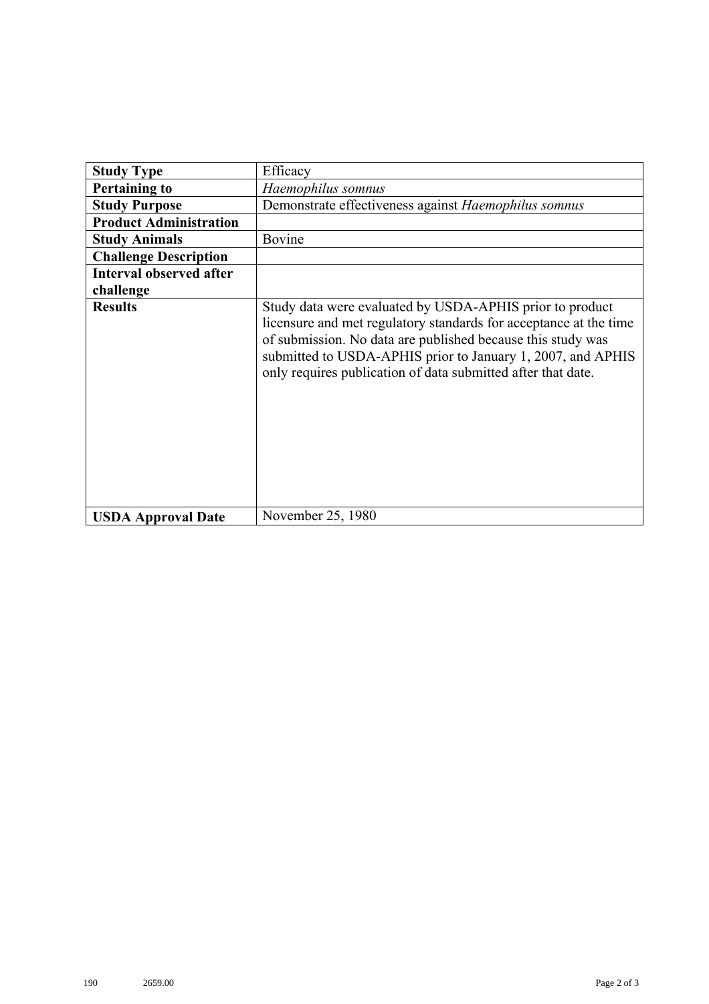| <b>Study Type</b>              | Efficacy                                                                                                                                                                                                                                                                                                                    |
|--------------------------------|-----------------------------------------------------------------------------------------------------------------------------------------------------------------------------------------------------------------------------------------------------------------------------------------------------------------------------|
| <b>Pertaining to</b>           | Haemophilus somnus                                                                                                                                                                                                                                                                                                          |
| <b>Study Purpose</b>           | Demonstrate effectiveness against Haemophilus somnus                                                                                                                                                                                                                                                                        |
| <b>Product Administration</b>  |                                                                                                                                                                                                                                                                                                                             |
| <b>Study Animals</b>           | Bovine                                                                                                                                                                                                                                                                                                                      |
| <b>Challenge Description</b>   |                                                                                                                                                                                                                                                                                                                             |
| <b>Interval observed after</b> |                                                                                                                                                                                                                                                                                                                             |
| challenge                      |                                                                                                                                                                                                                                                                                                                             |
| <b>Results</b>                 | Study data were evaluated by USDA-APHIS prior to product<br>licensure and met regulatory standards for acceptance at the time<br>of submission. No data are published because this study was<br>submitted to USDA-APHIS prior to January 1, 2007, and APHIS<br>only requires publication of data submitted after that date. |
| <b>USDA Approval Date</b>      | November 25, 1980                                                                                                                                                                                                                                                                                                           |